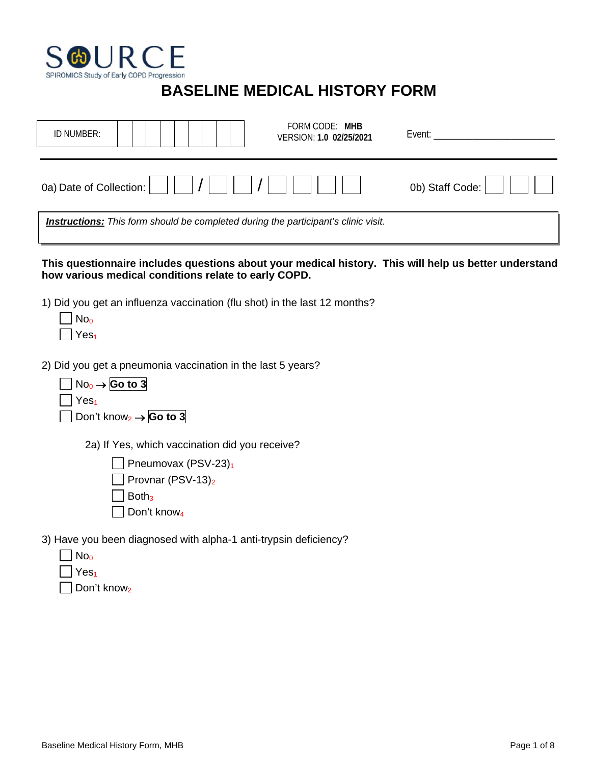

## **BASELINE MEDICAL HISTORY FORM**

| FORM CODE: MHB<br>ID NUMBER:<br>VERSION: 1.0 02/25/2021                                                                                                        | Event: <b>Exercise Exercise</b> |
|----------------------------------------------------------------------------------------------------------------------------------------------------------------|---------------------------------|
| 0a) Date of Collection:                                                                                                                                        | 0b) Staff Code:                 |
| <b>Instructions:</b> This form should be completed during the participant's clinic visit.                                                                      |                                 |
| This questionnaire includes questions about your medical history. This will help us better understand<br>how various medical conditions relate to early COPD.  |                                 |
| 1) Did you get an influenza vaccination (flu shot) in the last 12 months?<br>No <sub>0</sub><br>Yes <sub>1</sub>                                               |                                 |
| 2) Did you get a pneumonia vaccination in the last 5 years?<br>$No_0 \rightarrow$ Go to 3<br>Yes <sub>1</sub><br>Don't know <sub>2</sub> $\rightarrow$ Go to 3 |                                 |
| 2a) If Yes, which vaccination did you receive?<br>Pneumovax (PSV-23)1<br>Provnar (PSV-13) <sub>2</sub><br>Both <sub>3</sub>                                    |                                 |
| Don't know <sub>4</sub><br>3) Have you been diagnosed with alpha-1 anti-trypsin deficiency?<br>No <sub>0</sub><br>Yes <sub>1</sub>                             |                                 |

 $\Box$  Don't know<sub>2</sub>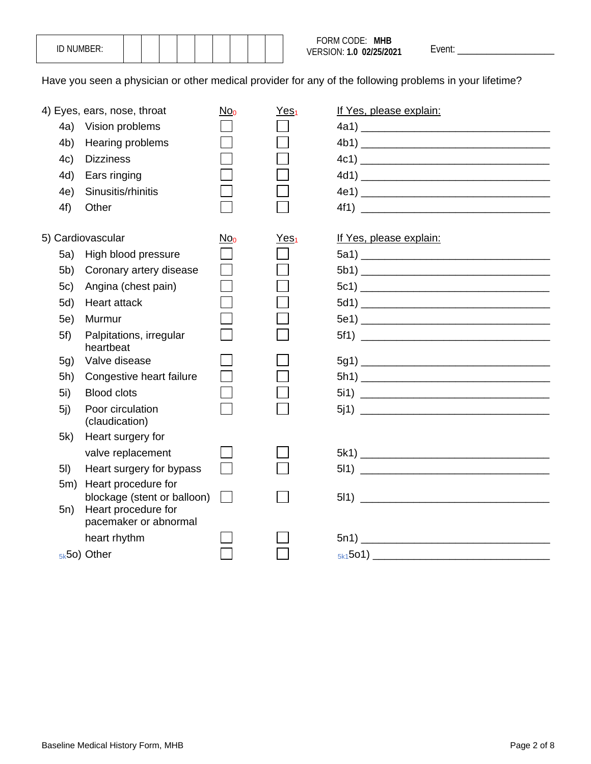| NUMBER: |  |  |  |  |
|---------|--|--|--|--|
|---------|--|--|--|--|

Have you seen a physician or other medical provider for any of the following problems in your lifetime?

|                | 4) Eyes, ears, nose, throat                        | $No_0$                      | Yes <sub>1</sub> | If Yes, please explain: |
|----------------|----------------------------------------------------|-----------------------------|------------------|-------------------------|
| 4a)            | Vision problems                                    |                             |                  |                         |
| 4 <sub>b</sub> | Hearing problems                                   |                             |                  |                         |
| 4c)            | <b>Dizziness</b>                                   |                             |                  |                         |
| 4d)            | Ears ringing                                       |                             |                  |                         |
| 4e)            | Sinusitis/rhinitis                                 |                             |                  |                         |
| 4f)            | Other                                              |                             |                  |                         |
|                | 5) Cardiovascular                                  | No <sub>0</sub>             | Yes <sub>1</sub> | If Yes, please explain: |
| 5a)            | High blood pressure                                | $\mathcal{L}_{\mathcal{A}}$ |                  |                         |
| 5b)            | Coronary artery disease                            |                             |                  |                         |
| 5c)            | Angina (chest pain)                                |                             |                  |                         |
| 5d)            | <b>Heart attack</b>                                |                             |                  |                         |
| 5e)            | Murmur                                             |                             |                  |                         |
| 5f)            | Palpitations, irregular<br>heartbeat               |                             |                  |                         |
| 5g)            | Valve disease                                      |                             |                  |                         |
| 5h)            | Congestive heart failure                           |                             |                  |                         |
| 5i)            | <b>Blood clots</b>                                 |                             |                  |                         |
| 5i)            | Poor circulation<br>(claudication)                 |                             |                  |                         |
| 5k)            | Heart surgery for                                  |                             |                  |                         |
|                | valve replacement                                  |                             |                  |                         |
| 5I)            | Heart surgery for bypass                           |                             |                  |                         |
| 5m)            | Heart procedure for<br>blockage (stent or balloon) | $\mathbf{1}$                |                  |                         |
| 5n)            | Heart procedure for<br>pacemaker or abnormal       |                             |                  |                         |
|                | heart rhythm                                       |                             |                  |                         |
|                | $5k$ 50) Other                                     |                             |                  |                         |
|                |                                                    |                             |                  |                         |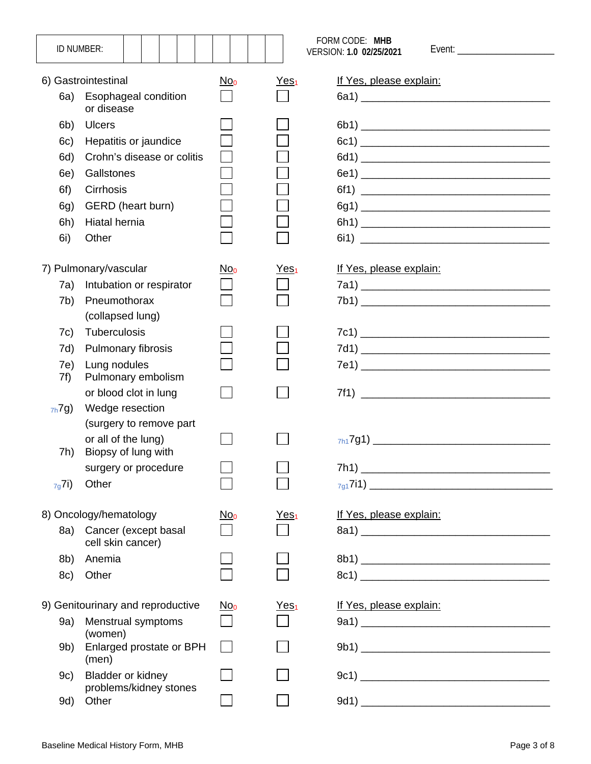|            | ID NUMBER:                                  |                 |                        | FORM CODE: MHB<br>VERSION: 1.0 02/25/2021 |
|------------|---------------------------------------------|-----------------|------------------------|-------------------------------------------|
|            | 6) Gastrointestinal                         | No <sub>0</sub> | <u>Yes<sub>1</sub></u> | If Yes, please explain:                   |
| 6a)        | Esophageal condition<br>or disease          |                 |                        |                                           |
| 6b)        | <b>Ulcers</b>                               |                 |                        |                                           |
| 6c)        | Hepatitis or jaundice                       |                 |                        |                                           |
| 6d)        | Crohn's disease or colitis                  |                 |                        |                                           |
| 6e)        | Gallstones                                  |                 |                        |                                           |
| 6f)        | Cirrhosis                                   |                 |                        |                                           |
| 6g)        | GERD (heart burn)                           |                 |                        |                                           |
| 6h)        | Hiatal hernia                               |                 |                        |                                           |
| 6i)        | Other                                       |                 |                        |                                           |
|            | 7) Pulmonary/vascular                       | No <sub>0</sub> | Yes <sub>1</sub>       | If Yes, please explain:                   |
| 7a)        | Intubation or respirator                    |                 |                        |                                           |
| 7b)        | Pneumothorax                                |                 |                        |                                           |
|            | (collapsed lung)                            |                 |                        |                                           |
| 7c)        | Tuberculosis                                |                 |                        |                                           |
| 7d)        | Pulmonary fibrosis                          |                 |                        |                                           |
| 7e)<br>7f) | Lung nodules<br>Pulmonary embolism          |                 |                        |                                           |
|            | or blood clot in lung                       |                 |                        |                                           |
| $7h$ 7g)   | Wedge resection                             |                 |                        |                                           |
|            | (surgery to remove part                     |                 |                        |                                           |
| 7h)        | or all of the lung)<br>Biopsy of lung with  |                 |                        |                                           |
|            | surgery or procedure                        |                 |                        | 7h1)                                      |
| $7g$ 7i)   | Other                                       |                 |                        |                                           |
|            | 8) Oncology/hematology                      | No <sub>0</sub> | Yes <sub>1</sub>       | If Yes, please explain:                   |
| 8a)        | Cancer (except basal<br>cell skin cancer)   |                 |                        |                                           |
| 8b)        | Anemia                                      |                 |                        |                                           |
| 8c)        | Other                                       |                 |                        |                                           |
|            | 9) Genitourinary and reproductive           | No <sub>0</sub> | Yes <sub>1</sub>       | If Yes, please explain:                   |
| 9a)        | Menstrual symptoms<br>(women)               |                 |                        |                                           |
| 9b)        | Enlarged prostate or BPH<br>(men)           |                 |                        |                                           |
| 9c)        | Bladder or kidney<br>problems/kidney stones |                 |                        |                                           |
| 9d)        | Other                                       |                 |                        |                                           |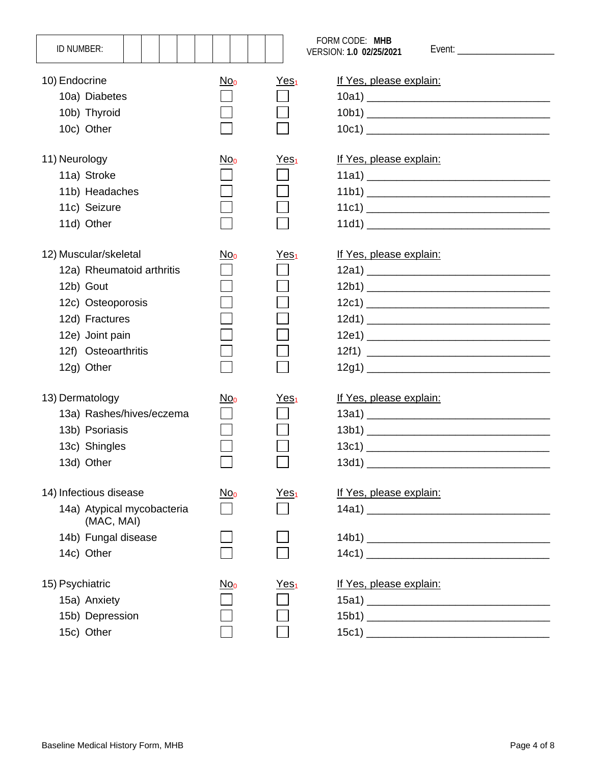| ID NUMBER:                                                                                                                                                     |                 |                        | FORM CODE: MHB<br>VERSION: 1.0 02/25/2021 |
|----------------------------------------------------------------------------------------------------------------------------------------------------------------|-----------------|------------------------|-------------------------------------------|
| 10) Endocrine<br>10a) Diabetes<br>10b) Thyroid<br>10c) Other                                                                                                   | No <sub>0</sub> | Yes <sub>1</sub>       | If Yes, please explain:                   |
| 11) Neurology<br>11a) Stroke<br>11b) Headaches<br>11c) Seizure<br>11d) Other                                                                                   | No <sub>0</sub> | <u>Yes<sub>1</sub></u> | If Yes, please explain:                   |
| 12) Muscular/skeletal<br>12a) Rheumatoid arthritis<br>12b) Gout<br>12c) Osteoporosis<br>12d) Fractures<br>12e) Joint pain<br>12f) Osteoarthritis<br>12g) Other | $No_0$          | Yes <sub>1</sub>       | If Yes, please explain:                   |
| 13) Dermatology<br>13a) Rashes/hives/eczema<br>13b) Psoriasis<br>13c) Shingles<br>13d) Other                                                                   | $No_0$          | <u>Yes<sub>1</sub></u> | If Yes, please explain:<br>13d1)          |
| 14) Infectious disease<br>14a) Atypical mycobacteria<br>(MAC, MAI)<br>14b) Fungal disease<br>14c) Other                                                        | <u>Noo</u>      | Yes <sub>1</sub>       | If Yes, please explain:                   |
| 15) Psychiatric<br>15a) Anxiety<br>15b) Depression<br>15c) Other                                                                                               | No <sub>0</sub> | Yes <sub>1</sub>       | If Yes, please explain:                   |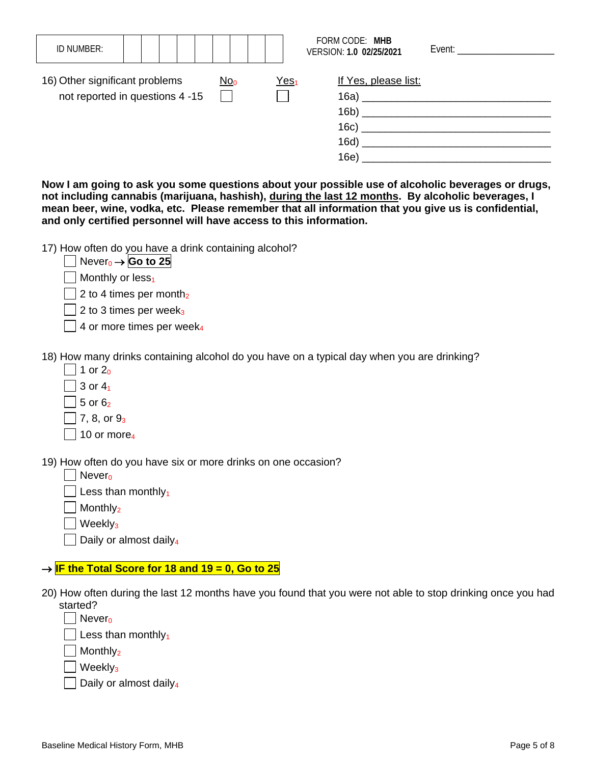| ID NUMBER:                                                        |  |  |                 |  |                        | FORM CODE: MHB<br>VERSION: 1.0 02/25/2021    | Event: Event and the second service of the service of the service of the service of the series of the series of the series of the series of the series of the series of the series of the series of the series of the series o |
|-------------------------------------------------------------------|--|--|-----------------|--|------------------------|----------------------------------------------|--------------------------------------------------------------------------------------------------------------------------------------------------------------------------------------------------------------------------------|
| 16) Other significant problems<br>not reported in questions 4 -15 |  |  | No <sub>0</sub> |  | <u>Yes<sub>1</sub></u> | If Yes, please list:<br>16c)<br>16d)<br>16e) | 16a)<br>16b)                                                                                                                                                                                                                   |

**Now I am going to ask you some questions about your possible use of alcoholic beverages or drugs, not including cannabis (marijuana, hashish), during the last 12 months. By alcoholic beverages, I mean beer, wine, vodka, etc. Please remember that all information that you give us is confidential, and only certified personnel will have access to this information.**

17) How often do you have a drink containing alcohol?

| Never <sub>0</sub> $\rightarrow$ Go to 25      |  |
|------------------------------------------------|--|
| $\mathbf{1}$ and $\mathbf{1}$ and $\mathbf{1}$ |  |

 $\Box$  Monthly or less<sub>1</sub>

 $\Box$  2 to 4 times per month<sub>2</sub>

 $\vert$  2 to 3 times per week<sub>3</sub>

 $\Box$  4 or more times per week<sub>4</sub>

18) How many drinks containing alcohol do you have on a typical day when you are drinking?

- $\Box$  1 or 2<sub>0</sub>
- $\Box$  3 or 4<sub>1</sub>
- $5$  or  $6<sub>2</sub>$
- $|$  | 7, 8, or  $9_3$
- $\Box$  10 or more<sub>4</sub>

19) How often do you have six or more drinks on one occasion?

- $\Box$  Never<sub>0</sub>
- $\Box$  Less than monthly<sub>1</sub>

 $\Box$  Monthly<sub>2</sub>

 $\Box$  Weekly<sub>3</sub>

 $\Box$  Daily or almost daily<sub>4</sub>

## → **IF the Total Score for 18 and 19 = 0, Go to 25**

20) How often during the last 12 months have you found that you were not able to stop drinking once you had started?

 $\Box$  Nevero

 $\Box$  Less than monthly<sub>1</sub>

 $\vert$  Monthly<sub>2</sub>

 $\Box$  Weekly<sub>3</sub>

 $\Box$  Daily or almost daily<sub>4</sub>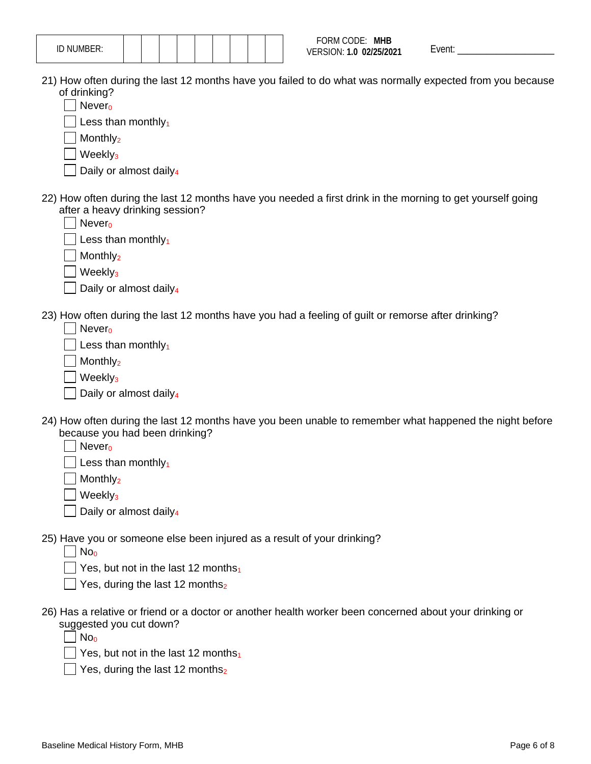| NUMBER:<br>ID.<br>$- \cdot \cdot$ |  |  |  |  |  |
|-----------------------------------|--|--|--|--|--|
|-----------------------------------|--|--|--|--|--|

- 21) How often during the last 12 months have you failed to do what was normally expected from you because of drinking?
	- $\blacksquare$  Never<sub>0</sub>

 $\boxed{\phantom{1}}$  Less than monthly<sub>1</sub>

 $\Box$  Monthly<sub>2</sub>

 $\sqrt{\frac{1}{1}}$  Weekly<sub>3</sub>

- $\vert$  Daily or almost daily<sub>4</sub>
- 22) How often during the last 12 months have you needed a first drink in the morning to get yourself going after a heavy drinking session?

 $\vert$  Never<sub>0</sub>

Less than monthly $_1$ 

Monthly<sub>2</sub>

 $\Box$  Weekly<sub>3</sub>

- $\Box$  Daily or almost daily<sub>4</sub>
- 23) How often during the last 12 months have you had a feeling of guilt or remorse after drinking?

 $\vert$  Never<sub>0</sub>

 $\Box$  Less than monthly<sub>1</sub>

Monthly<sub>2</sub>

 $\vert$  Weekly<sub>3</sub>

Daily or almost daily<sub>4</sub>

24) How often during the last 12 months have you been unable to remember what happened the night before because you had been drinking?

 $\blacksquare$  Never<sub>0</sub>

Less than monthly $_1$ 

 $M$ onthly<sub>2</sub>

 $\sqrt{ }$  Weekly<sub>3</sub>

 $\vert$  Daily or almost daily<sub>4</sub>

25) Have you or someone else been injured as a result of your drinking?

 $\Box$  No<sub>0</sub>

 $\Box$  Yes, but not in the last 12 months<sub>1</sub>

 $\vert$  Yes, during the last 12 months<sub>2</sub>

26) Has a relative or friend or a doctor or another health worker been concerned about your drinking or suggested you cut down?

 $\Box$  No<sub>0</sub>

Yes, but not in the last 12 months $_1$ 

 $\sqrt{ }$  Yes, during the last 12 months<sub>2</sub>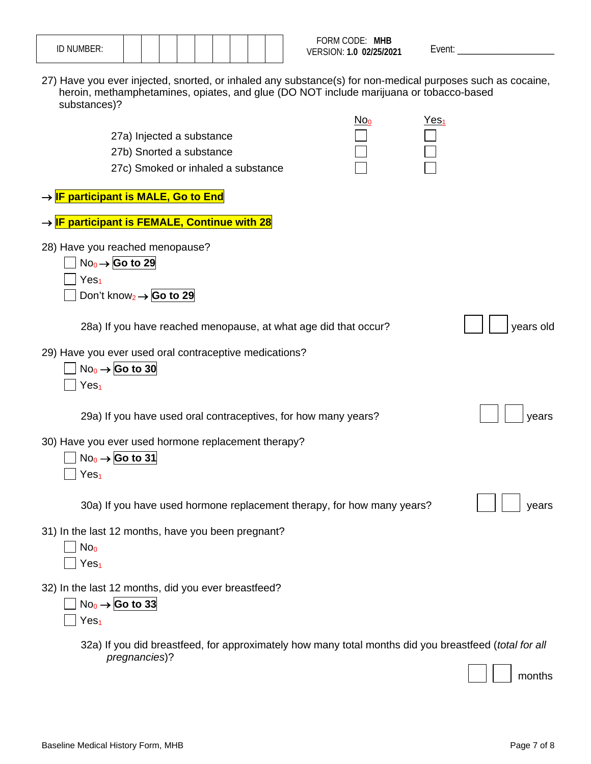|  | $IN$ $NII$ is $I\cap T\cap$<br>ID INUMBER:<br>. |  |  |  |  |  |
|--|-------------------------------------------------|--|--|--|--|--|
|  |                                                 |  |  |  |  |  |
|  |                                                 |  |  |  |  |  |

27) Have you ever injected, snorted, or inhaled any substance(s) for non-medical purposes such as cocaine, heroin, methamphetamines, opiates, and glue (DO NOT include marijuana or tobacco-based substances)?

|                                     |                                                                                                                        | No <sub>0</sub> | Yes <sub>1</sub> |           |
|-------------------------------------|------------------------------------------------------------------------------------------------------------------------|-----------------|------------------|-----------|
|                                     | 27a) Injected a substance<br>27b) Snorted a substance                                                                  |                 |                  |           |
|                                     | 27c) Smoked or inhaled a substance                                                                                     |                 |                  |           |
|                                     |                                                                                                                        |                 |                  |           |
|                                     | → <mark>IF participant is MALE, Go to End</mark>                                                                       |                 |                  |           |
|                                     | → <mark>IF participant is FEMALE, Continue with 28</mark>                                                              |                 |                  |           |
|                                     | 28) Have you reached menopause?<br>$No_0 \rightarrow$ Go to 29                                                         |                 |                  |           |
| Yes <sub>1</sub>                    | Don't know <sub>2</sub> $\rightarrow$ Go to 29                                                                         |                 |                  |           |
|                                     | 28a) If you have reached menopause, at what age did that occur?                                                        |                 |                  | years old |
| Yes <sub>1</sub>                    | 29) Have you ever used oral contraceptive medications?<br>$No_0 \rightarrow$ Go to 30                                  |                 |                  |           |
|                                     | 29a) If you have used oral contraceptives, for how many years?                                                         |                 |                  | years     |
| Yes <sub>1</sub>                    | 30) Have you ever used hormone replacement therapy?<br>$No_0 \rightarrow$ Go to 31                                     |                 |                  |           |
|                                     | 30a) If you have used hormone replacement therapy, for how many years?                                                 |                 |                  | years     |
| No <sub>0</sub><br>Yes <sub>1</sub> | 31) In the last 12 months, have you been pregnant?                                                                     |                 |                  |           |
| Yes <sub>1</sub>                    | 32) In the last 12 months, did you ever breastfeed?<br>$No0 \rightarrow$ Go to 33                                      |                 |                  |           |
|                                     | 32a) If you did breastfeed, for approximately how many total months did you breastfeed (total for all<br>pregnancies)? |                 |                  |           |
|                                     |                                                                                                                        |                 |                  | months    |